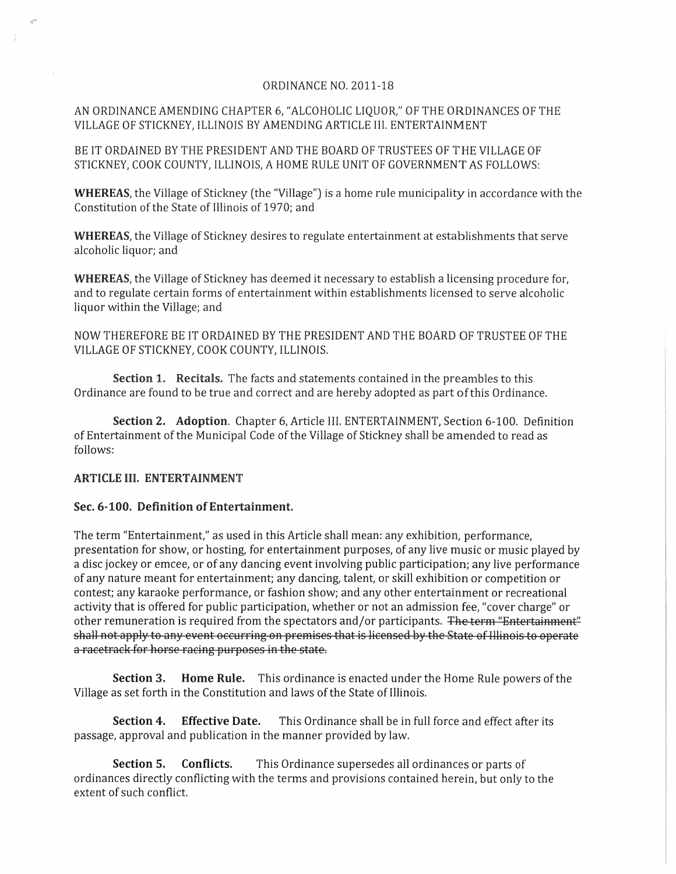## ORDINANCE NO. 2011-18

## AN ORDINANCE AMENDING CHAPTER 6, "ALCOHOLIC LIQUOR," OF THE ORDINANCES OF THE VILLAGE OF STICKNEY, ILLINOIS BY AMENDING ARTICLE III. ENTERTAINMENT

BE IT ORDAINED BY THE PRESIDENT AND THE BOARD OF TRUSTEES OF THE VILLAGE OF STICKNEY, COOK COUNTY, ILLINOIS, A HOME RULE UNIT OF GOVERNMENT AS FOLLOWS:

WHEREAS, the Village of Stickney (the "Village") is a home rule municipality in accordance with the Constitution of the State of Illinois of 1970; and

WHEREAS, the Village of Stickney desires to regulate entertainment at establishments that serve alcoholic liquor; and

WHEREAS, the Village of Stickney has deemed it necessary to establish a licensing procedure for, and to regulate certain forms of entertainment within establishments licensed to serve alcoholic liquor within the Village; and

NOW THEREFORE BE IT ORDAINED BY THE PRESIDENT AND THE BOARD OF TRUSTEE OF THE VILLAGE OF STICKNEY, COOK COUNTY, ILLINOIS.

Section 1. Recitals. The facts and statements contained in the preambles to this Ordinance are found to be true and correct and are hereby adopted as part of this Ordinance.

Section 2. Adoption. Chapter 6, Article III. ENTERTAINMENT, Section 6-100. Definition of Entertainment of the Municipal Code of the Village of Stickney shall be amended to read as follows:

## ARTICLE III. ENTERTAINMENT

## Sec. 6-100. Definition of Entertainment.

The term "Entertainment," as used in this Article shall mean: any exhibition, performance, presentation for show, or hosting, for entertainment purposes, of any live music or music played by a disc jockey or emcee, or of any dancing event involving public participation; any live performance of any nature meant for entertainment; any dancing, talent, or skill exhibition or competition or contest; any karaoke performance, or fashion show; and any other entertainment or recreational activity that is offered for public participation, whether or not an admission fee, "cover charge" or other remuneration is required from the spectators and/or participants. The term "Entertainment" shall not apply to any event occurring on premises that is licensed by the State of Illinois to operate a racetrack for horse racing purposes in the state.

Section 3. Home Rule. This ordinance is enacted under the Home Rule powers of the Village as set forth in the Constitution and laws of the State of Illinois.

Section 4. Effective Date. This Ordinance shall be in full force and effect after its passage, approval and publication in the manner provided by law.

Section 5. Conflicts. This Ordinance supersedes all ordinances or parts of ordinances directly conflicting with the terms and provisions contained herein, but only to the extent of such conflict.